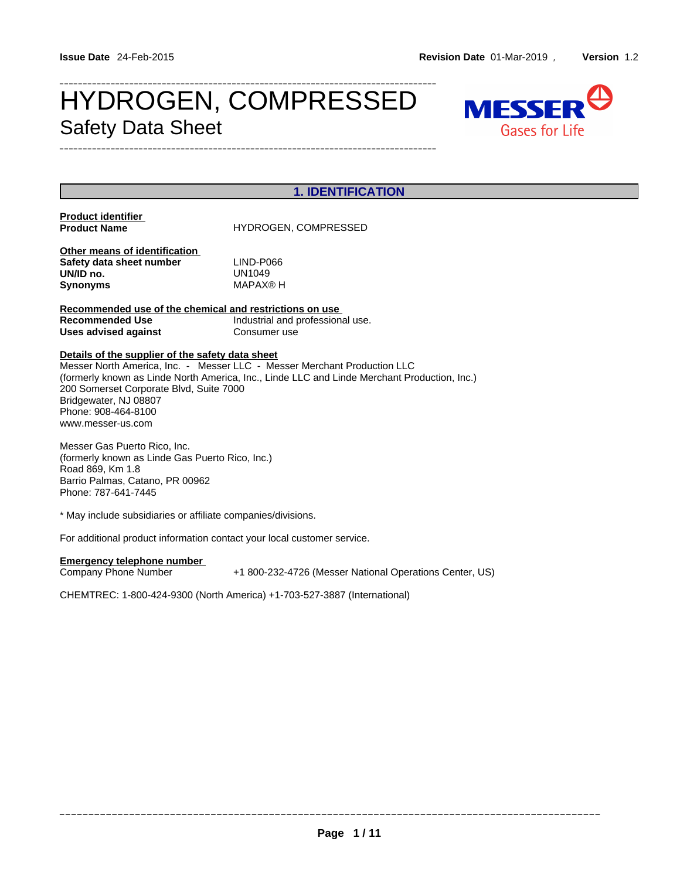# HYDROGEN, COMPRESSED MESSER<sup>O</sup> Safety Data Sheet



| <b>1. IDENTIFICATION</b>                                                                                                                                                                                                                                                                                                                     |                                                         |  |  |  |  |
|----------------------------------------------------------------------------------------------------------------------------------------------------------------------------------------------------------------------------------------------------------------------------------------------------------------------------------------------|---------------------------------------------------------|--|--|--|--|
| <b>Product identifier</b><br><b>Product Name</b>                                                                                                                                                                                                                                                                                             | <b>HYDROGEN, COMPRESSED</b>                             |  |  |  |  |
| Other means of identification<br>Safety data sheet number<br>UN/ID no.<br><b>Synonyms</b>                                                                                                                                                                                                                                                    | LIND-P066<br>UN1049<br><b>MAPAX®H</b>                   |  |  |  |  |
| Recommended use of the chemical and restrictions on use<br><b>Recommended Use</b><br>Industrial and professional use.<br>Uses advised against<br>Consumer use                                                                                                                                                                                |                                                         |  |  |  |  |
| Details of the supplier of the safety data sheet<br>Messer North America, Inc. - Messer LLC - Messer Merchant Production LLC<br>(formerly known as Linde North America, Inc., Linde LLC and Linde Merchant Production, Inc.)<br>200 Somerset Corporate Blvd, Suite 7000<br>Bridgewater, NJ 08807<br>Phone: 908-464-8100<br>www.messer-us.com |                                                         |  |  |  |  |
| Messer Gas Puerto Rico, Inc.<br>(formerly known as Linde Gas Puerto Rico, Inc.)<br>Road 869, Km 1.8<br>Barrio Palmas, Catano, PR 00962<br>Phone: 787-641-7445                                                                                                                                                                                |                                                         |  |  |  |  |
| * May include subsidiaries or affiliate companies/divisions.                                                                                                                                                                                                                                                                                 |                                                         |  |  |  |  |
| For additional product information contact your local customer service.                                                                                                                                                                                                                                                                      |                                                         |  |  |  |  |
| <b>Emergency telephone number</b><br>Company Phone Number                                                                                                                                                                                                                                                                                    | +1 800-232-4726 (Messer National Operations Center, US) |  |  |  |  |
| CHEMTREC: 1-800-424-9300 (North America) +1-703-527-3887 (International)                                                                                                                                                                                                                                                                     |                                                         |  |  |  |  |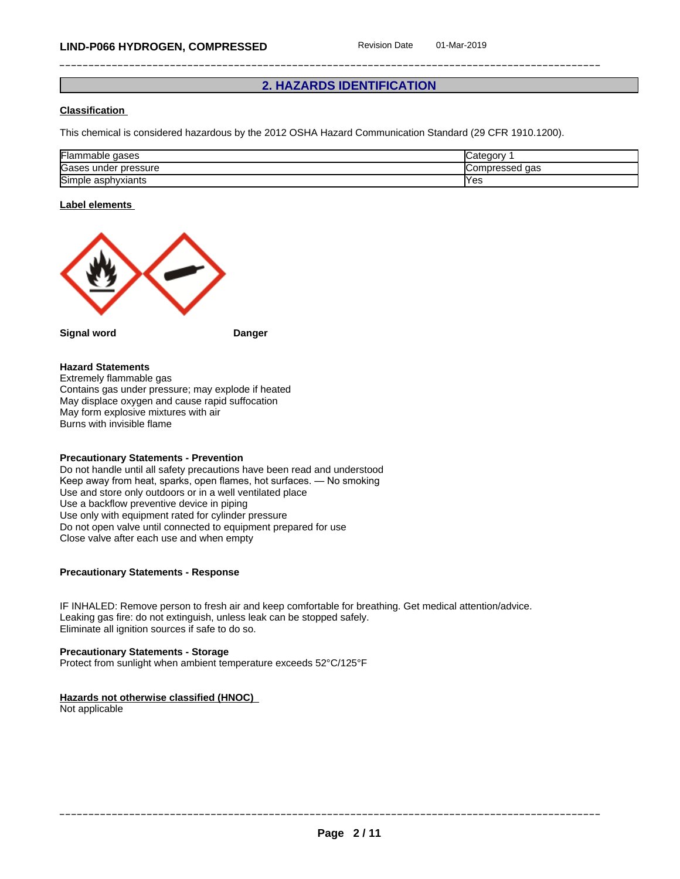# **2. HAZARDS IDENTIFICATION**

### **Classification**

This chemical is considered hazardous by the 2012 OSHA Hazard Communication Standard (29 CFR 1910.1200).

| Flammable<br>gases             | <i>⊾</i> ategorٽ          |
|--------------------------------|---------------------------|
| הו<br>under pressure<br>lGases | <b>ICompressed</b><br>aas |
| ירו<br>Simple asphyxiants      | 'Yes                      |

#### **Label elements**



**Signal word Danger**

#### **Hazard Statements**

Extremely flammable gas Contains gas under pressure; may explode if heated May displace oxygen and cause rapid suffocation May form explosive mixtures with air Burns with invisible flame

#### **Precautionary Statements - Prevention**

Do not handle until all safety precautions have been read and understood Keep away from heat, sparks, open flames, hot surfaces. — No smoking Use and store only outdoors or in a well ventilated place Use a backflow preventive device in piping Use only with equipment rated for cylinder pressure Do not open valve until connected to equipment prepared for use Close valve after each use and when empty

#### **Precautionary Statements - Response**

IF INHALED: Remove person to fresh air and keep comfortable for breathing. Get medical attention/advice. Leaking gas fire: do not extinguish, unless leak can be stopped safely. Eliminate all ignition sources if safe to do so.

# **Precautionary Statements - Storage**

Protect from sunlight when ambient temperature exceeds 52°C/125°F

#### **Hazards not otherwise classified (HNOC)**

Not applicable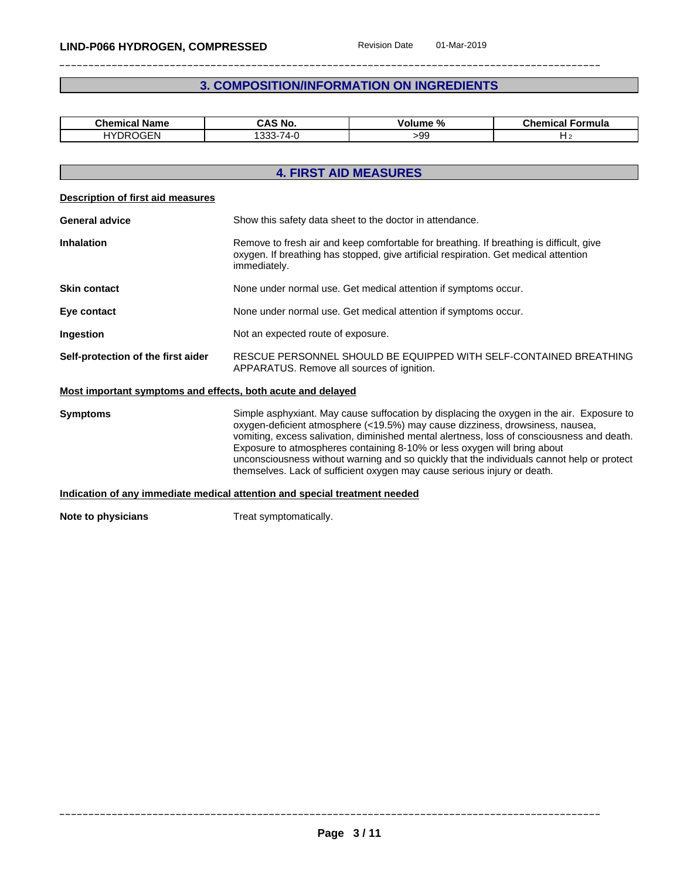# **3. COMPOSITION/INFORMATION ON INGREDIENTS**

| <b>Chemical Name</b> | CAS No.                                     | $\mathbf{a}$<br>Volume<br>-70 | Chemical<br>Formula |
|----------------------|---------------------------------------------|-------------------------------|---------------------|
| <b>HYDROGEN</b>      | $-1$<br>000<br>$\overline{ }$<br>74-<br>ບບເ | -99                           |                     |

|                                                             | <b>4. FIRST AID MEASURES</b>                                                                                                                                                                                                                                                                                                                                                                                                                                                                                                   |  |  |  |
|-------------------------------------------------------------|--------------------------------------------------------------------------------------------------------------------------------------------------------------------------------------------------------------------------------------------------------------------------------------------------------------------------------------------------------------------------------------------------------------------------------------------------------------------------------------------------------------------------------|--|--|--|
| Description of first aid measures                           |                                                                                                                                                                                                                                                                                                                                                                                                                                                                                                                                |  |  |  |
| <b>General advice</b>                                       | Show this safety data sheet to the doctor in attendance.                                                                                                                                                                                                                                                                                                                                                                                                                                                                       |  |  |  |
| <b>Inhalation</b>                                           | Remove to fresh air and keep comfortable for breathing. If breathing is difficult, give<br>oxygen. If breathing has stopped, give artificial respiration. Get medical attention<br>immediately.                                                                                                                                                                                                                                                                                                                                |  |  |  |
| <b>Skin contact</b>                                         | None under normal use. Get medical attention if symptoms occur.                                                                                                                                                                                                                                                                                                                                                                                                                                                                |  |  |  |
| Eye contact                                                 | None under normal use. Get medical attention if symptoms occur.                                                                                                                                                                                                                                                                                                                                                                                                                                                                |  |  |  |
| Ingestion                                                   | Not an expected route of exposure.                                                                                                                                                                                                                                                                                                                                                                                                                                                                                             |  |  |  |
| Self-protection of the first aider                          | RESCUE PERSONNEL SHOULD BE EQUIPPED WITH SELF-CONTAINED BREATHING<br>APPARATUS. Remove all sources of ignition.                                                                                                                                                                                                                                                                                                                                                                                                                |  |  |  |
| Most important symptoms and effects, both acute and delayed |                                                                                                                                                                                                                                                                                                                                                                                                                                                                                                                                |  |  |  |
| <b>Symptoms</b>                                             | Simple asphyxiant. May cause suffocation by displacing the oxygen in the air. Exposure to<br>oxygen-deficient atmosphere (<19.5%) may cause dizziness, drowsiness, nausea,<br>vomiting, excess salivation, diminished mental alertness, loss of consciousness and death.<br>Exposure to atmospheres containing 8-10% or less oxygen will bring about<br>unconsciousness without warning and so quickly that the individuals cannot help or protect<br>themselves. Lack of sufficient oxygen may cause serious injury or death. |  |  |  |
|                                                             | Indication of any immediate medical attention and special treatment needed                                                                                                                                                                                                                                                                                                                                                                                                                                                     |  |  |  |
| Note to physicians                                          | Treat symptomatically.                                                                                                                                                                                                                                                                                                                                                                                                                                                                                                         |  |  |  |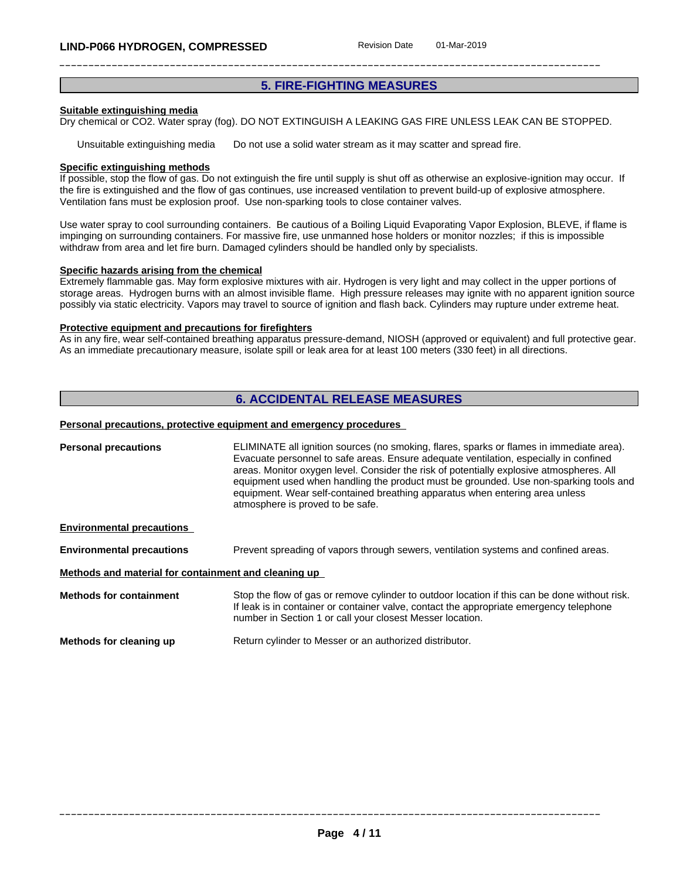# **5. FIRE-FIGHTING MEASURES**

#### **Suitable extinguishing media**

Dry chemical or CO2. Water spray (fog). DO NOT EXTINGUISH A LEAKING GAS FIRE UNLESS LEAK CAN BE STOPPED.

Unsuitable extinguishing media Do not use a solid water stream as it may scatter and spread fire.

#### **Specific extinguishing methods**

If possible, stop the flow of gas. Do not extinguish the fire until supply is shut off as otherwise an explosive-ignition may occur. If the fire is extinguished and the flow of gas continues, use increased ventilation to prevent build-up of explosive atmosphere. Ventilation fans must be explosion proof. Use non-sparking tools to close container valves.

Use water spray to cool surrounding containers. Be cautious of a Boiling Liquid Evaporating Vapor Explosion, BLEVE, if flame is impinging on surrounding containers. For massive fire, use unmanned hose holders or monitor nozzles; if this is impossible withdraw from area and let fire burn. Damaged cylinders should be handled only by specialists.

#### **Specific hazards arising from the chemical**

Extremely flammable gas. May form explosive mixtures with air. Hydrogen is very light and may collect in the upper portions of storage areas. Hydrogen burns with an almost invisible flame. High pressure releases may ignite with no apparent ignition source possibly via static electricity. Vapors may travel to source of ignition and flash back. Cylinders may rupture under extreme heat.

#### **Protective equipment and precautions for firefighters**

As in any fire, wear self-contained breathing apparatus pressure-demand, NIOSH (approved or equivalent) and full protective gear. As an immediate precautionary measure, isolate spill or leak area for at least 100 meters (330 feet) in all directions.

# **6. ACCIDENTAL RELEASE MEASURES**

#### **Personal precautions, protective equipment and emergency procedures**

| <b>Personal precautions</b>                          | ELIMINATE all ignition sources (no smoking, flares, sparks or flames in immediate area).<br>Evacuate personnel to safe areas. Ensure adequate ventilation, especially in confined<br>areas. Monitor oxygen level. Consider the risk of potentially explosive atmospheres. All<br>equipment used when handling the product must be grounded. Use non-sparking tools and<br>equipment. Wear self-contained breathing apparatus when entering area unless<br>atmosphere is proved to be safe. |
|------------------------------------------------------|--------------------------------------------------------------------------------------------------------------------------------------------------------------------------------------------------------------------------------------------------------------------------------------------------------------------------------------------------------------------------------------------------------------------------------------------------------------------------------------------|
| <b>Environmental precautions</b>                     |                                                                                                                                                                                                                                                                                                                                                                                                                                                                                            |
| <b>Environmental precautions</b>                     | Prevent spreading of vapors through sewers, ventilation systems and confined areas.                                                                                                                                                                                                                                                                                                                                                                                                        |
| Methods and material for containment and cleaning up |                                                                                                                                                                                                                                                                                                                                                                                                                                                                                            |
| <b>Methods for containment</b>                       | Stop the flow of gas or remove cylinder to outdoor location if this can be done without risk.<br>If leak is in container or container valve, contact the appropriate emergency telephone<br>number in Section 1 or call your closest Messer location.                                                                                                                                                                                                                                      |
| Methods for cleaning up                              | Return cylinder to Messer or an authorized distributor.                                                                                                                                                                                                                                                                                                                                                                                                                                    |
|                                                      |                                                                                                                                                                                                                                                                                                                                                                                                                                                                                            |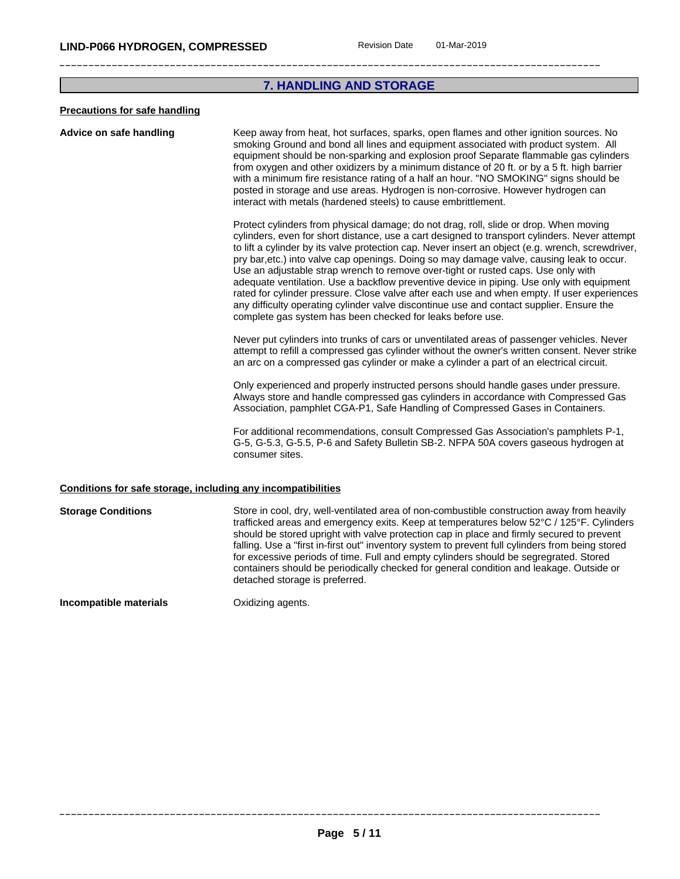# **7. HANDLING AND STORAGE**

#### **Precautions for safe handling**

#### **Advice on safe handling** Keep away from heat, hot surfaces, sparks, open flames and other ignition sources. No smoking Ground and bond all lines and equipment associated with product system. All equipment should be non-sparking and explosion proof Separate flammable gas cylinders from oxygen and other oxidizers by a minimum distance of 20 ft. or by a 5 ft. high barrier with a minimum fire resistance rating of a half an hour. "NO SMOKING" signs should be posted in storage and use areas. Hydrogen is non-corrosive. However hydrogen can interact with metals (hardened steels) to cause embrittlement.

Protect cylinders from physical damage; do not drag, roll, slide or drop. When moving cylinders, even for short distance, use a cart designed to transport cylinders. Never attempt to lift a cylinder by its valve protection cap. Never insert an object (e.g. wrench, screwdriver, pry bar,etc.) into valve cap openings. Doing so may damage valve, causing leak to occur. Use an adjustable strap wrench to remove over-tight or rusted caps. Use only with adequate ventilation. Use a backflow preventive device in piping. Use only with equipment rated for cylinder pressure. Close valve after each use and when empty. If user experiences any difficulty operating cylinder valve discontinue use and contact supplier. Ensure the complete gas system has been checked for leaks before use.

Never put cylinders into trunks of cars or unventilated areas of passenger vehicles. Never attempt to refill a compressed gas cylinder without the owner's written consent. Never strike an arc on a compressed gas cylinder or make a cylinder a part of an electrical circuit.

Only experienced and properly instructed persons should handle gases under pressure. Always store and handle compressed gas cylinders in accordance with Compressed Gas Association, pamphlet CGA-P1, Safe Handling of Compressed Gases in Containers.

For additional recommendations, consult Compressed Gas Association's pamphlets P-1, G-5, G-5.3, G-5.5, P-6 and Safety Bulletin SB-2. NFPA 50A coversgaseous hydrogen at consumer sites.

#### **Conditions for safe storage, including any incompatibilities**

**Storage Conditions** Store in cool, dry, well-ventilated area of non-combustible construction away from heavily trafficked areas and emergency exits. Keep at temperatures below 52°C / 125°F. Cylinders should be stored upright with valve protection cap in place and firmly secured to prevent falling. Use a "first in-first out" inventory system to prevent full cylinders from being stored for excessive periods of time. Full and empty cylinders should be segregrated. Stored containers should be periodically checked for general condition and leakage. Outside or detached storage is preferred.

**Incompatible materials Canadiates Constants** Oxidizing agents.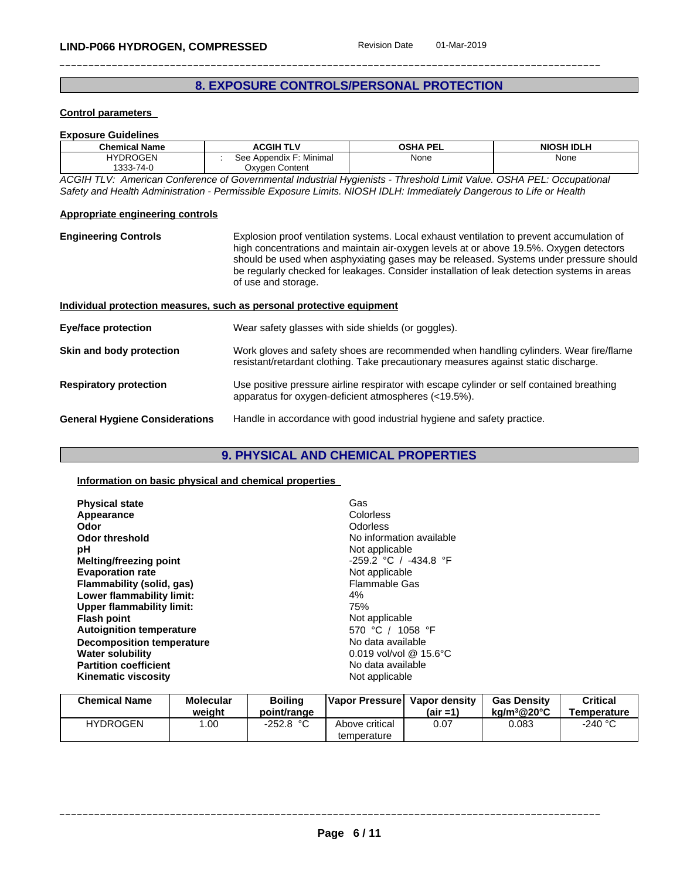# **8. EXPOSURE CONTROLS/PERSONAL PROTECTION**

#### **Control parameters**

| <b>Exposure Guidelines</b> |                         |                 |                   |
|----------------------------|-------------------------|-----------------|-------------------|
| <b>Chemical Name</b>       | <b>ACGIH TLV</b>        | <b>OSHA PEL</b> | <b>NIOSH IDLH</b> |
| <b>HYDROGEN</b>            | See Appendix F: Minimal | None            | None              |
| 1333-74-0                  | Oxygen Content          |                 |                   |

*ACGIH TLV: American Conference of Governmental Industrial Hygienists - Threshold Limit Value. OSHA PEL: Occupational* Safety and Health Administration - Permissible Exposure Limits. NIOSH IDLH: Immediately Dangerous to Life or Health

#### **Appropriate engineering controls**

**Engineering Controls** Explosion proof ventilation systems. Local exhaust ventilation to prevent accumulation of high concentrations and maintain air-oxygen levels at or above 19.5%. Oxygen detectors should be used when asphyxiating gases may be released. Systems under pressure should be regularly checked for leakages. Consider installation of leak detection systems in areas of use and storage.

| Individual protection measures, such as personal protective equipment |                                                                                                                                                                              |  |  |
|-----------------------------------------------------------------------|------------------------------------------------------------------------------------------------------------------------------------------------------------------------------|--|--|
| <b>Eye/face protection</b>                                            | Wear safety glasses with side shields (or goggles).                                                                                                                          |  |  |
| Skin and body protection                                              | Work gloves and safety shoes are recommended when handling cylinders. Wear fire/flame<br>resistant/retardant clothing. Take precautionary measures against static discharge. |  |  |
| <b>Respiratory protection</b>                                         | Use positive pressure airline respirator with escape cylinder or self contained breathing<br>apparatus for oxygen-deficient atmospheres (<19.5%).                            |  |  |
| <b>General Hygiene Considerations</b>                                 | Handle in accordance with good industrial hygiene and safety practice.                                                                                                       |  |  |

# **9. PHYSICAL AND CHEMICAL PROPERTIES**

#### **Information on basic physical and chemical properties**

| Gas<br>Colorless<br>Odorless<br>No information available<br>Not applicable<br>$-259.2$ °C / $-434.8$ °F<br>Not applicable<br>Flammable Gas<br>4%<br>75%<br>Not applicable<br>570 °C / 1058 °F<br>No data available<br>$0.019$ vol/vol @ 15.6°C<br>No data available |
|---------------------------------------------------------------------------------------------------------------------------------------------------------------------------------------------------------------------------------------------------------------------|
| Not applicable                                                                                                                                                                                                                                                      |
|                                                                                                                                                                                                                                                                     |

| <b>Chemical Name</b> | Molecular<br>weight | <b>Boiling</b><br>point/range | Vapor Pressure                | Vapor density<br>$(air = 1)$ | <b>Gas Density</b><br>$ka/m^3@20°C$ | Critical<br><b>Temperature</b> |
|----------------------|---------------------|-------------------------------|-------------------------------|------------------------------|-------------------------------------|--------------------------------|
| <b>HYDROGEN</b>      | .00                 | $-252.8 °C$                   | Above critical<br>temperature | 0.07                         | 0.083                               | -240 °C                        |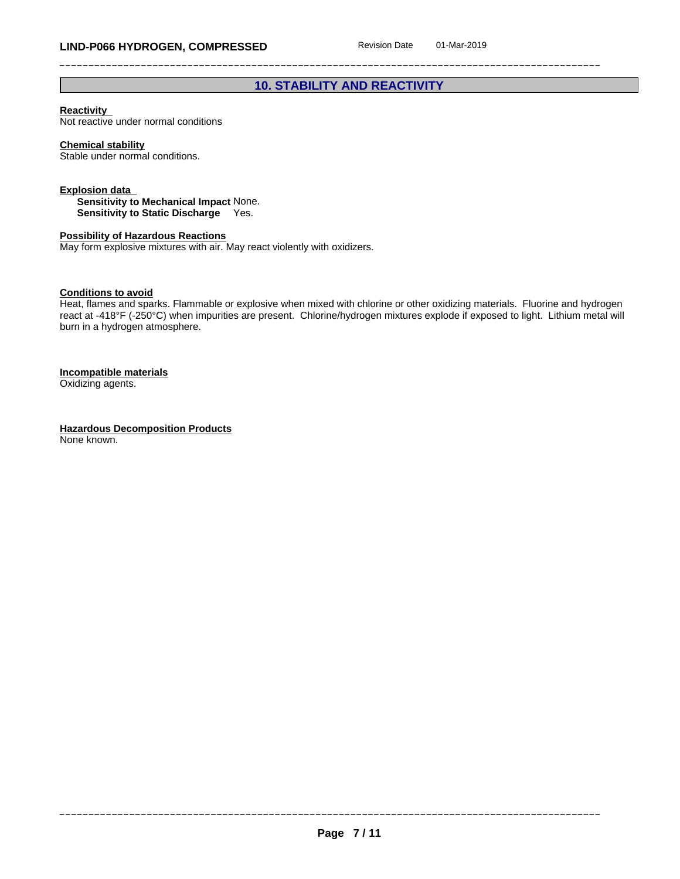# **10. STABILITY AND REACTIVITY**

#### **Reactivity**

Not reactive under normal conditions

### **Chemical stability**

Stable under normal conditions.

#### **Explosion data**

**Sensitivity to Mechanical Impact** None. **Sensitivity to Static Discharge** Yes.

#### **Possibility of Hazardous Reactions**

May form explosive mixtures with air. May react violently with oxidizers.

#### **Conditions to avoid**

Heat, flames and sparks. Flammable or explosive when mixed with chlorine or other oxidizing materials. Fluorine and hydrogen react at -418°F (-250°C) when impurities are present. Chlorine/hydrogen mixtures explode if exposed to light. Lithium metal will burn in a hydrogen atmosphere.

#### **Incompatible materials**

Oxidizing agents.

**Hazardous Decomposition Products** None known.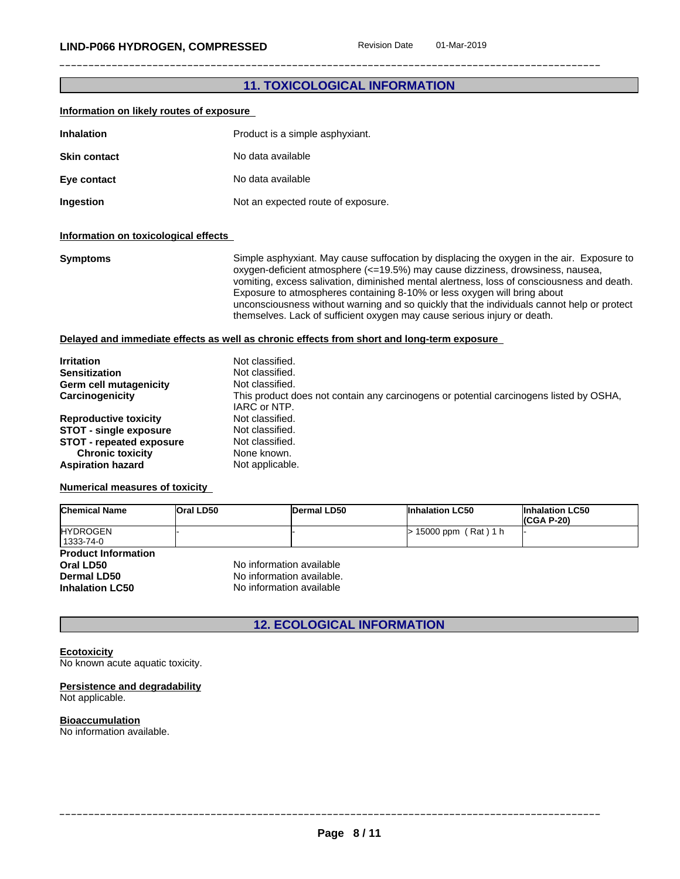# **11. TOXICOLOGICAL INFORMATION**

| Information on likely routes of exposure                                                                                                                                                                                                                 |           |                                                                                                                                                                  |             |                                                                                                                                                                                                                                                                                                                                                                                                                                                                                                                                 |                                      |  |
|----------------------------------------------------------------------------------------------------------------------------------------------------------------------------------------------------------------------------------------------------------|-----------|------------------------------------------------------------------------------------------------------------------------------------------------------------------|-------------|---------------------------------------------------------------------------------------------------------------------------------------------------------------------------------------------------------------------------------------------------------------------------------------------------------------------------------------------------------------------------------------------------------------------------------------------------------------------------------------------------------------------------------|--------------------------------------|--|
| <b>Inhalation</b>                                                                                                                                                                                                                                        |           | Product is a simple asphyxiant.                                                                                                                                  |             |                                                                                                                                                                                                                                                                                                                                                                                                                                                                                                                                 |                                      |  |
| <b>Skin contact</b>                                                                                                                                                                                                                                      |           | No data available                                                                                                                                                |             |                                                                                                                                                                                                                                                                                                                                                                                                                                                                                                                                 |                                      |  |
| Eye contact                                                                                                                                                                                                                                              |           | No data available                                                                                                                                                |             |                                                                                                                                                                                                                                                                                                                                                                                                                                                                                                                                 |                                      |  |
| Ingestion                                                                                                                                                                                                                                                |           | Not an expected route of exposure.                                                                                                                               |             |                                                                                                                                                                                                                                                                                                                                                                                                                                                                                                                                 |                                      |  |
| Information on toxicological effects                                                                                                                                                                                                                     |           |                                                                                                                                                                  |             |                                                                                                                                                                                                                                                                                                                                                                                                                                                                                                                                 |                                      |  |
| <b>Symptoms</b>                                                                                                                                                                                                                                          |           |                                                                                                                                                                  |             | Simple asphyxiant. May cause suffocation by displacing the oxygen in the air. Exposure to<br>oxygen-deficient atmosphere (<=19.5%) may cause dizziness, drowsiness, nausea,<br>vomiting, excess salivation, diminished mental alertness, loss of consciousness and death.<br>Exposure to atmospheres containing 8-10% or less oxygen will bring about<br>unconsciousness without warning and so quickly that the individuals cannot help or protect<br>themselves. Lack of sufficient oxygen may cause serious injury or death. |                                      |  |
|                                                                                                                                                                                                                                                          |           |                                                                                                                                                                  |             | Delayed and immediate effects as well as chronic effects from short and long-term exposure                                                                                                                                                                                                                                                                                                                                                                                                                                      |                                      |  |
| <b>Irritation</b><br><b>Sensitization</b><br><b>Germ cell mutagenicity</b><br>Carcinogenicity<br><b>Reproductive toxicity</b><br><b>STOT - single exposure</b><br><b>STOT - repeated exposure</b><br><b>Chronic toxicity</b><br><b>Aspiration hazard</b> |           | Not classified.<br>Not classified.<br>Not classified.<br>IARC or NTP.<br>Not classified.<br>Not classified.<br>Not classified.<br>None known.<br>Not applicable. |             | This product does not contain any carcinogens or potential carcinogens listed by OSHA,                                                                                                                                                                                                                                                                                                                                                                                                                                          |                                      |  |
| <b>Numerical measures of toxicity</b>                                                                                                                                                                                                                    |           |                                                                                                                                                                  |             |                                                                                                                                                                                                                                                                                                                                                                                                                                                                                                                                 |                                      |  |
| <b>Chemical Name</b>                                                                                                                                                                                                                                     | Oral LD50 |                                                                                                                                                                  | Dermal LD50 | <b>Inhalation LC50</b>                                                                                                                                                                                                                                                                                                                                                                                                                                                                                                          | <b>Inhalation LC50</b><br>(CGA P-20) |  |
| <b>HYDROGEN</b><br>1333-74-0                                                                                                                                                                                                                             |           |                                                                                                                                                                  |             | $> 15000$ ppm (Rat) 1 h                                                                                                                                                                                                                                                                                                                                                                                                                                                                                                         |                                      |  |
| <b>Product Information</b><br>Oral LD50<br><b>Dermal LD50</b><br><b>Inhalation LC50</b>                                                                                                                                                                  |           | No information available<br>No information available.<br>No information available                                                                                |             |                                                                                                                                                                                                                                                                                                                                                                                                                                                                                                                                 |                                      |  |

**12. ECOLOGICAL INFORMATION**

#### **Ecotoxicity**

No known acute aquatic toxicity.

#### **Persistence and degradability** Not applicable.

**Bioaccumulation** No information available.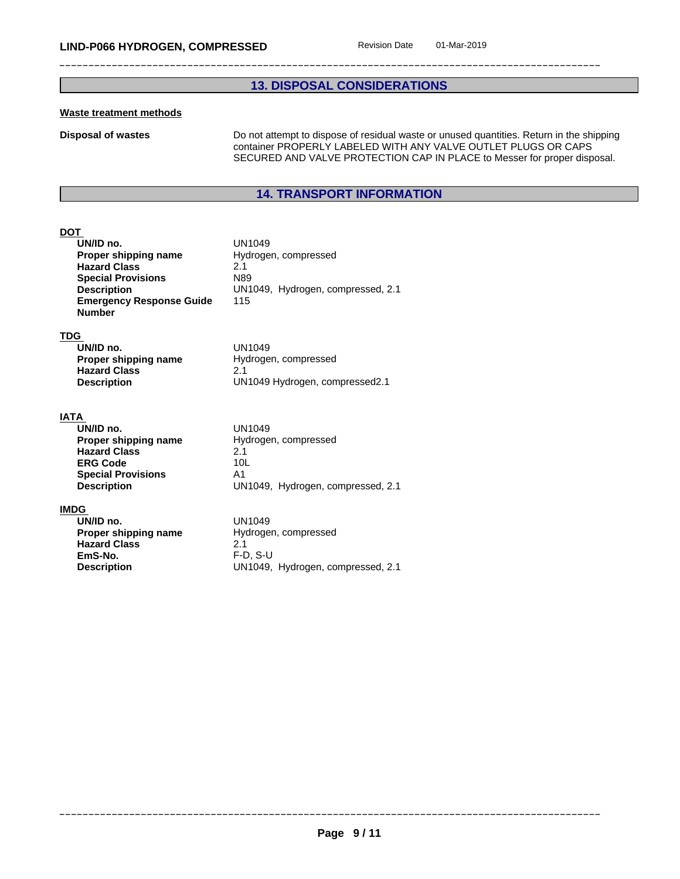# **13. DISPOSAL CONSIDERATIONS**

### **Waste treatment methods**

**Disposal of wastes** Do not attempt to dispose of residual waste or unused quantities. Return in the shipping container PROPERLY LABELED WITH ANY VALVE OUTLET PLUGS OR CAPS SECURED AND VALVE PROTECTION CAP IN PLACE to Messer for proper disposal.

# **14. TRANSPORT INFORMATION**

# **DOT**

| UN1049                            |
|-----------------------------------|
| Hydrogen, compressed              |
| 21                                |
| N89                               |
| UN1049, Hydrogen, compressed, 2.1 |
| 115                               |
|                                   |

#### **TDG**

| UN/ID no.            | UN1049                         |
|----------------------|--------------------------------|
| Proper shipping name | Hydrogen, compressed           |
| <b>Hazard Class</b>  |                                |
| <b>Description</b>   | UN1049 Hydrogen, compressed2.1 |

#### **IATA**

| UN/ID no.                 | UN1049                            |
|---------------------------|-----------------------------------|
| Proper shipping name      | Hydrogen, compressed              |
| <b>Hazard Class</b>       | 2.1                               |
| <b>ERG Code</b>           | 10 <sub>L</sub>                   |
| <b>Special Provisions</b> | A1                                |
| <b>Description</b>        | UN1049, Hydrogen, compressed, 2.1 |

#### **IMDG**

| UN/ID no.            | UN1049                            |
|----------------------|-----------------------------------|
| Proper shipping name | Hydrogen, compressed              |
| <b>Hazard Class</b>  | 2.1                               |
| EmS-No.              | F-D. S-U                          |
| <b>Description</b>   | UN1049, Hydrogen, compressed, 2.1 |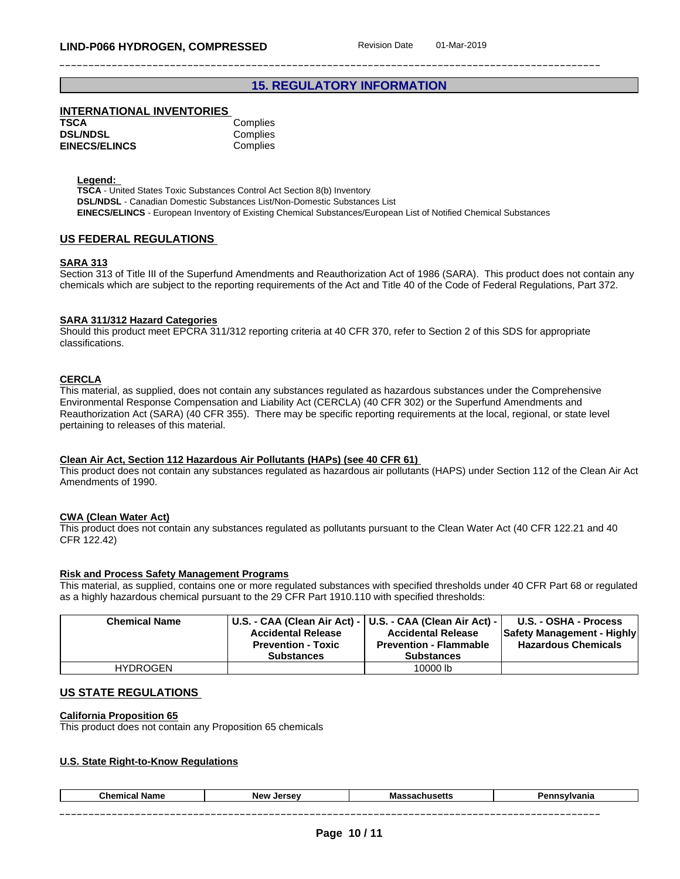# **15. REGULATORY INFORMATION**

## **INTERNATIONAL INVENTORIES**

| TSCA                 | Complies |
|----------------------|----------|
| <b>DSL/NDSL</b>      | Complies |
| <b>EINECS/ELINCS</b> | Complies |

**Legend:** 

**TSCA** - United States Toxic Substances Control Act Section 8(b) Inventory **DSL/NDSL** - Canadian Domestic Substances List/Non-Domestic Substances List **EINECS/ELINCS** - European Inventory of Existing Chemical Substances/European List of Notified Chemical Substances

#### **US FEDERAL REGULATIONS**

#### **SARA 313**

Section 313 of Title III of the Superfund Amendments and Reauthorization Act of 1986 (SARA). This product does not contain any chemicals which are subject to the reporting requirements of the Act and Title 40 of the Code of Federal Regulations, Part 372.

#### **SARA 311/312 Hazard Categories**

Should this product meet EPCRA 311/312 reporting criteria at 40 CFR 370, refer to Section 2 of this SDS for appropriate classifications.

#### **CERCLA**

This material, as supplied, does not contain any substances regulated as hazardous substances under the Comprehensive Environmental Response Compensation and Liability Act (CERCLA) (40 CFR 302) or the Superfund Amendments and Reauthorization Act (SARA) (40 CFR 355). There may be specific reporting requirements at the local, regional, or state level pertaining to releases of this material.

#### **Clean Air Act,Section 112 Hazardous Air Pollutants (HAPs) (see 40 CFR 61)**

This product does not contain any substances regulated as hazardous air pollutants (HAPS) under Section 112 of the Clean Air Act Amendments of 1990.

#### **CWA** (Clean Water Act)

This product does not contain any substances regulated as pollutants pursuant to the Clean Water Act (40 CFR 122.21 and 40 CFR 122.42)

#### **Risk and Process Safety Management Programs**

This material, as supplied, contains one or more regulated substances with specified thresholds under 40 CFR Part 68 or regulated as a highly hazardous chemical pursuant to the 29 CFR Part 1910.110 with specified thresholds:

| <b>Chemical Name</b> | <b>Accidental Release</b><br><b>Prevention - Toxic</b><br><b>Substances</b> | U.S. - CAA (Clean Air Act) -   U.S. - CAA (Clean Air Act) -  <br><b>Accidental Release</b><br><b>Prevention - Flammable</b><br><b>Substances</b> | U.S. - OSHA - Process<br><b>Safety Management - Highly</b><br><b>Hazardous Chemicals</b> |
|----------------------|-----------------------------------------------------------------------------|--------------------------------------------------------------------------------------------------------------------------------------------------|------------------------------------------------------------------------------------------|
| <b>HYDROGEN</b>      |                                                                             | 10000 lb                                                                                                                                         |                                                                                          |

## **US STATE REGULATIONS**

#### **California Proposition 65**

This product does not contain any Proposition 65 chemicals

#### **U.S. State Right-to-Know Regulations**

| ----<br>'anıa | 1000<br>IVI d<br>. | $I^{\alpha}$<br><b>New</b> | Chemical<br>Name |
|---------------|--------------------|----------------------------|------------------|
|---------------|--------------------|----------------------------|------------------|